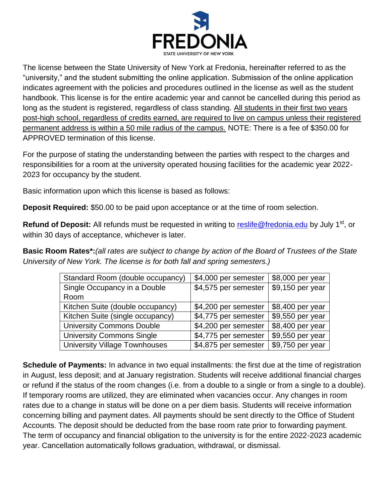

The license between the State University of New York at Fredonia, hereinafter referred to as the "university," and the student submitting the online application. Submission of the online application indicates agreement with the policies and procedures outlined in the license as well as the student handbook. This license is for the entire academic year and cannot be cancelled during this period as long as the student is registered, regardless of class standing. All students in their first two years post-high school, regardless of credits earned, are required to live on campus unless their registered permanent address is within a 50 mile radius of the campus. NOTE: There is a fee of \$350.00 for APPROVED termination of this license.

For the purpose of stating the understanding between the parties with respect to the charges and responsibilities for a room at the university operated housing facilities for the academic year 2022- 2023 for occupancy by the student.

Basic information upon which this license is based as follows:

**Deposit Required:** \$50.00 to be paid upon acceptance or at the time of room selection.

**Refund of Deposit:** All refunds must be requested in writing to [reslife@fredonia.edu](mailto:reslife@fredonia.edu) by July 1<sup>st</sup>, or within 30 days of acceptance, whichever is later.

**Basic Room Rates\*:***(all rates are subject to change by action of the Board of Trustees of the State University of New York. The license is for both fall and spring semesters.)*

| Standard Room (double occupancy) | \$4,000 per semester | \$8,000 per year |
|----------------------------------|----------------------|------------------|
| Single Occupancy in a Double     | \$4,575 per semester | \$9,150 per year |
| Room                             |                      |                  |
| Kitchen Suite (double occupancy) | \$4,200 per semester | \$8,400 per year |
| Kitchen Suite (single occupancy) | \$4,775 per semester | \$9,550 per year |
| <b>University Commons Double</b> | \$4,200 per semester | \$8,400 per year |
| <b>University Commons Single</b> | \$4,775 per semester | \$9,550 per year |
| University Village Townhouses    | \$4,875 per semester | \$9,750 per year |

**Schedule of Payments:** In advance in two equal installments: the first due at the time of registration in August, less deposit; and at January registration. Students will receive additional financial charges or refund if the status of the room changes (i.e. from a double to a single or from a single to a double). If temporary rooms are utilized, they are eliminated when vacancies occur. Any changes in room rates due to a change in status will be done on a per diem basis. Students will receive information concerning billing and payment dates. All payments should be sent directly to the Office of Student Accounts. The deposit should be deducted from the base room rate prior to forwarding payment. The term of occupancy and financial obligation to the university is for the entire 2022-2023 academic year. Cancellation automatically follows graduation, withdrawal, or dismissal.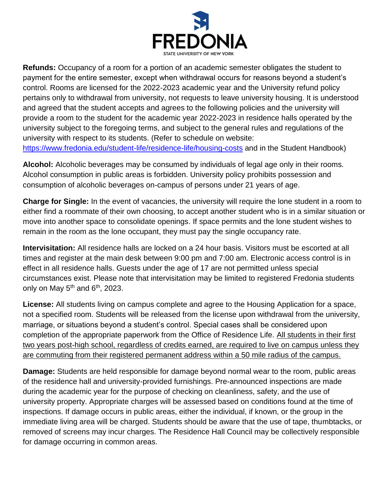

**Refunds:** Occupancy of a room for a portion of an academic semester obligates the student to payment for the entire semester, except when withdrawal occurs for reasons beyond a student's control. Rooms are licensed for the 2022-2023 academic year and the University refund policy pertains only to withdrawal from university, not requests to leave university housing. It is understood and agreed that the student accepts and agrees to the following policies and the university will provide a room to the student for the academic year 2022-2023 in residence halls operated by the university subject to the foregoing terms, and subject to the general rules and regulations of the university with respect to its students. (Refer to schedule on website: <https://www.fredonia.edu/student-life/residence-life/housing-costs> [a](https://www.fredonia.edu/student-life/residence-life/housing-costs)nd in the Student Handbook)

**Alcohol:** Alcoholic beverages may be consumed by individuals of legal age only in their rooms. Alcohol consumption in public areas is forbidden. University policy prohibits possession and consumption of alcoholic beverages on-campus of persons under 21 years of age.

**Charge for Single:** In the event of vacancies, the university will require the lone student in a room to either find a roommate of their own choosing, to accept another student who is in a similar situation or move into another space to consolidate openings. If space permits and the lone student wishes to remain in the room as the lone occupant, they must pay the single occupancy rate.

**Intervisitation:** All residence halls are locked on a 24 hour basis. Visitors must be escorted at all times and register at the main desk between 9:00 pm and 7:00 am. Electronic access control is in effect in all residence halls. Guests under the age of 17 are not permitted unless special circumstances exist. Please note that intervisitation may be limited to registered Fredonia students only on May  $5<sup>th</sup>$  and  $6<sup>th</sup>$ , 2023.

**License:** All students living on campus complete and agree to the Housing Application for a space, not a specified room. Students will be released from the license upon withdrawal from the university, marriage, or situations beyond a student's control. Special cases shall be considered upon completion of the appropriate paperwork from the Office of Residence Life. All students in their first two years post-high school, regardless of credits earned, are required to live on campus unless they are commuting from their registered permanent address within a 50 mile radius of the campus.

**Damage:** Students are held responsible for damage beyond normal wear to the room, public areas of the residence hall and university-provided furnishings. Pre-announced inspections are made during the academic year for the purpose of checking on cleanliness, safety, and the use of university property. Appropriate charges will be assessed based on conditions found at the time of inspections. If damage occurs in public areas, either the individual, if known, or the group in the immediate living area will be charged. Students should be aware that the use of tape, thumbtacks, or removed of screens may incur charges. The Residence Hall Council may be collectively responsible for damage occurring in common areas.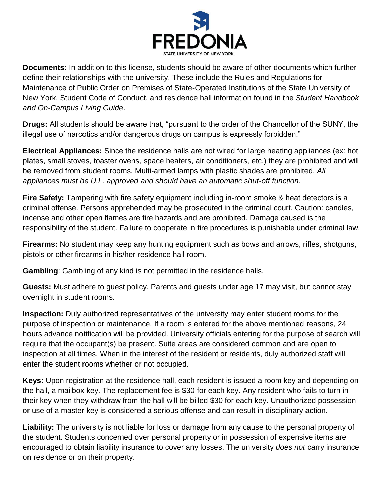

**Documents:** In addition to this license, students should be aware of other documents which further define their relationships with the university. These include the Rules and Regulations for Maintenance of Public Order on Premises of State-Operated Institutions of the State University of New York, Student Code of Conduct, and residence hall information found in the *Student Handbook and On-Campus Living Guide*.

**Drugs:** All students should be aware that, "pursuant to the order of the Chancellor of the SUNY, the illegal use of narcotics and/or dangerous drugs on campus is expressly forbidden."

**Electrical Appliances:** Since the residence halls are not wired for large heating appliances (ex: hot plates, small stoves, toaster ovens, space heaters, air conditioners, etc.) they are prohibited and will be removed from student rooms. Multi-armed lamps with plastic shades are prohibited. *All appliances must be U.L. approved and should have an automatic shut-off function.*

**Fire Safety:** Tampering with fire safety equipment including in-room smoke & heat detectors is a criminal offense. Persons apprehended may be prosecuted in the criminal court. Caution: candles, incense and other open flames are fire hazards and are prohibited. Damage caused is the responsibility of the student. Failure to cooperate in fire procedures is punishable under criminal law.

**Firearms:** No student may keep any hunting equipment such as bows and arrows, rifles, shotguns, pistols or other firearms in his/her residence hall room.

**Gambling**: Gambling of any kind is not permitted in the residence halls.

**Guests:** Must adhere to guest policy. Parents and guests under age 17 may visit, but cannot stay overnight in student rooms.

**Inspection:** Duly authorized representatives of the university may enter student rooms for the purpose of inspection or maintenance. If a room is entered for the above mentioned reasons, 24 hours advance notification will be provided. University officials entering for the purpose of search will require that the occupant(s) be present. Suite areas are considered common and are open to inspection at all times. When in the interest of the resident or residents, duly authorized staff will enter the student rooms whether or not occupied.

**Keys:** Upon registration at the residence hall, each resident is issued a room key and depending on the hall, a mailbox key. The replacement fee is \$30 for each key. Any resident who fails to turn in their key when they withdraw from the hall will be billed \$30 for each key. Unauthorized possession or use of a master key is considered a serious offense and can result in disciplinary action.

**Liability:** The university is not liable for loss or damage from any cause to the personal property of the student. Students concerned over personal property or in possession of expensive items are encouraged to obtain liability insurance to cover any losses. The university *does not* carry insurance on residence or on their property.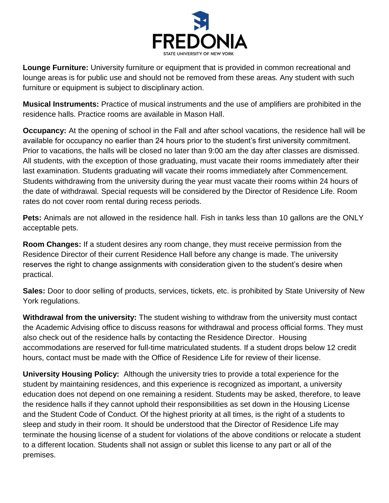

**Lounge Furniture:** University furniture or equipment that is provided in common recreational and lounge areas is for public use and should not be removed from these areas. Any student with such furniture or equipment is subject to disciplinary action.

**Musical Instruments:** Practice of musical instruments and the use of amplifiers are prohibited in the residence halls. Practice rooms are available in Mason Hall.

**Occupancy:** At the opening of school in the Fall and after school vacations, the residence hall will be available for occupancy no earlier than 24 hours prior to the student's first university commitment. Prior to vacations, the halls will be closed no later than 9:00 am the day after classes are dismissed. All students, with the exception of those graduating, must vacate their rooms immediately after their last examination. Students graduating will vacate their rooms immediately after Commencement. Students withdrawing from the university during the year must vacate their rooms within 24 hours of the date of withdrawal. Special requests will be considered by the Director of Residence Life. Room rates do not cover room rental during recess periods.

**Pets:** Animals are not allowed in the residence hall. Fish in tanks less than 10 gallons are the ONLY acceptable pets.

**Room Changes:** If a student desires any room change, they must receive permission from the Residence Director of their current Residence Hall before any change is made. The university reserves the right to change assignments with consideration given to the student's desire when practical.

**Sales:** Door to door selling of products, services, tickets, etc. is prohibited by State University of New York regulations.

**Withdrawal from the university:** The student wishing to withdraw from the university must contact the Academic Advising office to discuss reasons for withdrawal and process official forms. They must also check out of the residence halls by contacting the Residence Director. Housing accommodations are reserved for full-time matriculated students. If a student drops below 12 credit hours, contact must be made with the Office of Residence Life for review of their license.

**University Housing Policy:** Although the university tries to provide a total experience for the student by maintaining residences, and this experience is recognized as important, a university education does not depend on one remaining a resident. Students may be asked, therefore, to leave the residence halls if they cannot uphold their responsibilities as set down in the Housing License and the Student Code of Conduct. Of the highest priority at all times, is the right of a students to sleep and study in their room. It should be understood that the Director of Residence Life may terminate the housing license of a student for violations of the above conditions or relocate a student to a different location. Students shall not assign or sublet this license to any part or all of the premises.